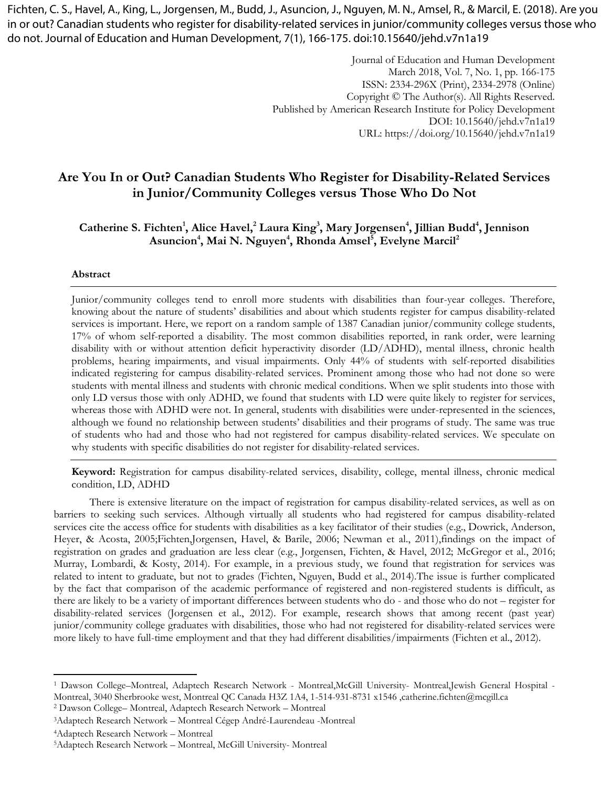Fichten, C. S., Havel, A., King, L., Jorgensen, M., Budd, J., Asuncion, J., Nguyen, M. N., Amsel, R., & Marcil, E. (2018). Are you in or out? Canadian students who register for disability-related services in junior/community colleges versus those who do not. Journal of Education and Human Development, 7(1), 166-175. doi:10.15640/jehd.v7n1a19

> Journal of Education and Human Development March 2018, Vol. 7, No. 1, pp. 166-175 ISSN: 2334-296X (Print), 2334-2978 (Online) Copyright © The Author(s). All Rights Reserved. Published by American Research Institute for Policy Development DOI: 10.15640/jehd.v7n1a19 URL: https://doi.org/10.15640/jehd.v7n1a19

# **Are You In or Out? Canadian Students Who Register for Disability-Related Services in Junior/Community Colleges versus Those Who Do Not**

# **Catherine S. Fichten<sup>1</sup> , Alice Havel,<sup>2</sup> Laura King<sup>3</sup> , Mary Jorgensen<sup>4</sup> , Jillian Budd<sup>4</sup> , Jennison Asuncion<sup>4</sup> , Mai N. Nguyen<sup>4</sup> , Rhonda Amsel<sup>5</sup> , Evelyne Marcil<sup>2</sup>**

#### **Abstract**

Junior/community colleges tend to enroll more students with disabilities than four-year colleges. Therefore, knowing about the nature of students' disabilities and about which students register for campus disability-related services is important. Here, we report on a random sample of 1387 Canadian junior/community college students, 17% of whom self-reported a disability. The most common disabilities reported, in rank order, were learning disability with or without attention deficit hyperactivity disorder (LD/ADHD), mental illness, chronic health problems, hearing impairments, and visual impairments. Only 44% of students with self-reported disabilities indicated registering for campus disability-related services. Prominent among those who had not done so were students with mental illness and students with chronic medical conditions. When we split students into those with only LD versus those with only ADHD, we found that students with LD were quite likely to register for services, whereas those with ADHD were not. In general, students with disabilities were under-represented in the sciences, although we found no relationship between students' disabilities and their programs of study. The same was true of students who had and those who had not registered for campus disability-related services. We speculate on why students with specific disabilities do not register for disability-related services.

**Keyword:** Registration for campus disability-related services, disability, college, mental illness, chronic medical condition, LD, ADHD

There is extensive literature on the impact of registration for campus disability-related services, as well as on barriers to seeking such services. Although virtually all students who had registered for campus disability-related services cite the access office for students with disabilities as a key facilitator of their studies (e.g., Dowrick, Anderson, Heyer, & Acosta, 2005;Fichten,Jorgensen, Havel, & Barile, 2006; Newman et al., 2011),findings on the impact of registration on grades and graduation are less clear (e.g., Jorgensen, Fichten, & Havel, 2012; McGregor et al., 2016; Murray, Lombardi, & Kosty, 2014). For example, in a previous study, we found that registration for services was related to intent to graduate, but not to grades (Fichten, Nguyen, Budd et al., 2014).The issue is further complicated by the fact that comparison of the academic performance of registered and non-registered students is difficult, as there are likely to be a variety of important differences between students who do - and those who do not – register for disability-related services (Jorgensen et al., 2012). For example, research shows that among recent (past year) junior/community college graduates with disabilities, those who had not registered for disability-related services were more likely to have full-time employment and that they had different disabilities/impairments (Fichten et al., 2012).

<sup>2</sup> Dawson College– Montreal, Adaptech Research Network – Montreal

 $\overline{\phantom{a}}$ 

<sup>1</sup> Dawson College–Montreal, Adaptech Research Network - Montreal,McGill University- Montreal,Jewish General Hospital - Montreal, 3040 Sherbrooke west, Montreal QC Canada H3Z 1A4, 1-514-931-8731 x1546 ,catherine.fichten@mcgill.ca

<sup>3</sup>Adaptech Research Network – Montreal Cégep André-Laurendeau -Montreal

<sup>4</sup>Adaptech Research Network – Montreal

<sup>5</sup>Adaptech Research Network – Montreal, McGill University- Montreal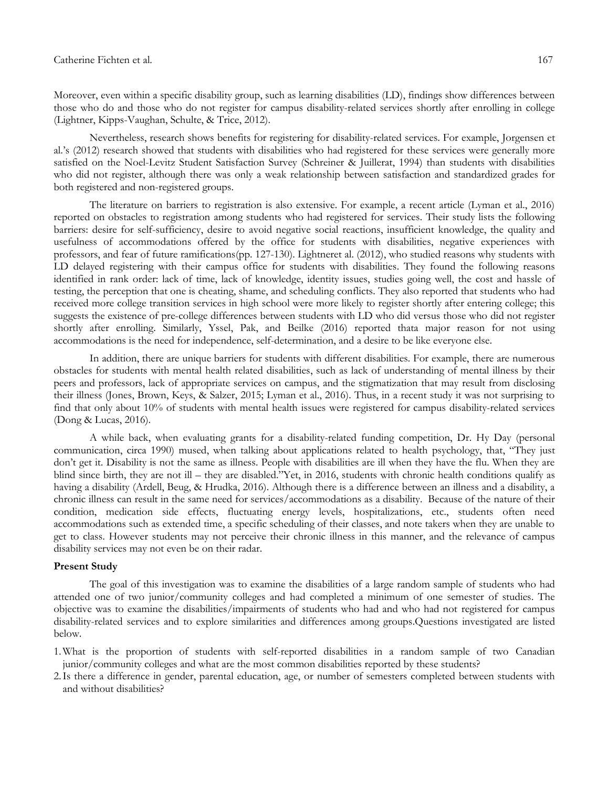Moreover, even within a specific disability group, such as learning disabilities (LD), findings show differences between those who do and those who do not register for campus disability-related services shortly after enrolling in college (Lightner, Kipps-Vaughan, Schulte, & Trice, 2012).

Nevertheless, research shows benefits for registering for disability-related services. For example, Jorgensen et al.'s (2012) research showed that students with disabilities who had registered for these services were generally more satisfied on the Noel-Levitz Student Satisfaction Survey (Schreiner & Juillerat, 1994) than students with disabilities who did not register, although there was only a weak relationship between satisfaction and standardized grades for both registered and non-registered groups.

The literature on barriers to registration is also extensive. For example, a recent article (Lyman et al., 2016) reported on obstacles to registration among students who had registered for services. Their study lists the following barriers: desire for self-sufficiency, desire to avoid negative social reactions, insufficient knowledge, the quality and usefulness of accommodations offered by the office for students with disabilities, negative experiences with professors, and fear of future ramifications(pp. 127-130). Lightneret al. (2012), who studied reasons why students with LD delayed registering with their campus office for students with disabilities. They found the following reasons identified in rank order: lack of time, lack of knowledge, identity issues, studies going well, the cost and hassle of testing, the perception that one is cheating, shame, and scheduling conflicts. They also reported that students who had received more college transition services in high school were more likely to register shortly after entering college; this suggests the existence of pre-college differences between students with LD who did versus those who did not register shortly after enrolling. Similarly, Yssel, Pak, and Beilke (2016) reported thata major reason for not using accommodations is the need for independence, self-determination, and a desire to be like everyone else.

In addition, there are unique barriers for students with different disabilities. For example, there are numerous obstacles for students with mental health related disabilities, such as lack of understanding of mental illness by their peers and professors, lack of appropriate services on campus, and the stigmatization that may result from disclosing their illness (Jones, Brown, Keys, & Salzer, 2015; Lyman et al., 2016). Thus, in a recent study it was not surprising to find that only about 10% of students with mental health issues were registered for campus disability-related services (Dong & Lucas, 2016).

A while back, when evaluating grants for a disability-related funding competition, Dr. Hy Day (personal communication, circa 1990) mused, when talking about applications related to health psychology, that, "They just don't get it. Disability is not the same as illness. People with disabilities are ill when they have the flu. When they are blind since birth, they are not ill – they are disabled."Yet, in 2016, students with chronic health conditions qualify as having a disability (Ardell, Beug, & Hrudka, 2016). Although there is a difference between an illness and a disability, a chronic illness can result in the same need for services/accommodations as a disability. Because of the nature of their condition, medication side effects, fluctuating energy levels, hospitalizations, etc., students often need accommodations such as extended time, a specific scheduling of their classes, and note takers when they are unable to get to class. However students may not perceive their chronic illness in this manner, and the relevance of campus disability services may not even be on their radar.

## **Present Study**

The goal of this investigation was to examine the disabilities of a large random sample of students who had attended one of two junior/community colleges and had completed a minimum of one semester of studies. The objective was to examine the disabilities/impairments of students who had and who had not registered for campus disability-related services and to explore similarities and differences among groups.Questions investigated are listed below.

- 1.What is the proportion of students with self-reported disabilities in a random sample of two Canadian junior/community colleges and what are the most common disabilities reported by these students?
- 2.Is there a difference in gender, parental education, age, or number of semesters completed between students with and without disabilities?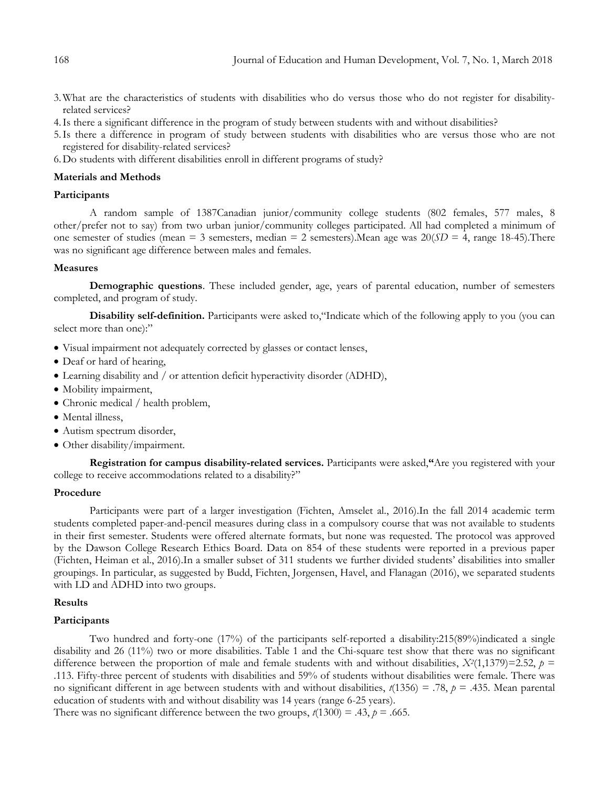- 3.What are the characteristics of students with disabilities who do versus those who do not register for disabilityrelated services?
- 4.Is there a significant difference in the program of study between students with and without disabilities?
- 5.Is there a difference in program of study between students with disabilities who are versus those who are not registered for disability-related services?
- 6.Do students with different disabilities enroll in different programs of study?

# **Materials and Methods**

## **Participants**

A random sample of 1387Canadian junior/community college students (802 females, 577 males, 8 other/prefer not to say) from two urban junior/community colleges participated. All had completed a minimum of one semester of studies (mean  $=$  3 semesters, median  $=$  2 semesters). Mean age was  $20(SD = 4$ , range 18-45). There was no significant age difference between males and females.

## **Measures**

**Demographic questions**. These included gender, age, years of parental education, number of semesters completed, and program of study.

**Disability self-definition.** Participants were asked to,"Indicate which of the following apply to you (you can select more than one):"

- Visual impairment not adequately corrected by glasses or contact lenses,
- Deaf or hard of hearing,
- Learning disability and / or attention deficit hyperactivity disorder (ADHD),
- Mobility impairment,
- Chronic medical / health problem,
- Mental illness,
- Autism spectrum disorder,
- Other disability/impairment.

**Registration for campus disability-related services.** Participants were asked,**"**Are you registered with your college to receive accommodations related to a disability?"

## **Procedure**

Participants were part of a larger investigation (Fichten, Amselet al., 2016).In the fall 2014 academic term students completed paper-and-pencil measures during class in a compulsory course that was not available to students in their first semester. Students were offered alternate formats, but none was requested. The protocol was approved by the Dawson College Research Ethics Board. Data on 854 of these students were reported in a previous paper (Fichten, Heiman et al., 2016).In a smaller subset of 311 students we further divided students' disabilities into smaller groupings. In particular, as suggested by Budd, Fichten, Jorgensen, Havel, and Flanagan (2016), we separated students with LD and ADHD into two groups.

## **Results**

## **Participants**

Two hundred and forty-one (17%) of the participants self-reported a disability:215(89%)indicated a single disability and 26 (11%) two or more disabilities. Table 1 and the Chi-square test show that there was no significant difference between the proportion of male and female students with and without disabilities,  $X^2(1,1379) = 2.52$ ,  $p =$ .113. Fifty-three percent of students with disabilities and 59% of students without disabilities were female. There was no significant different in age between students with and without disabilities, *t*(1356) = .78, *p* = .435. Mean parental education of students with and without disability was 14 years (range 6-25 years).

There was no significant difference between the two groups,  $t(1300) = .43$ ,  $p = .665$ .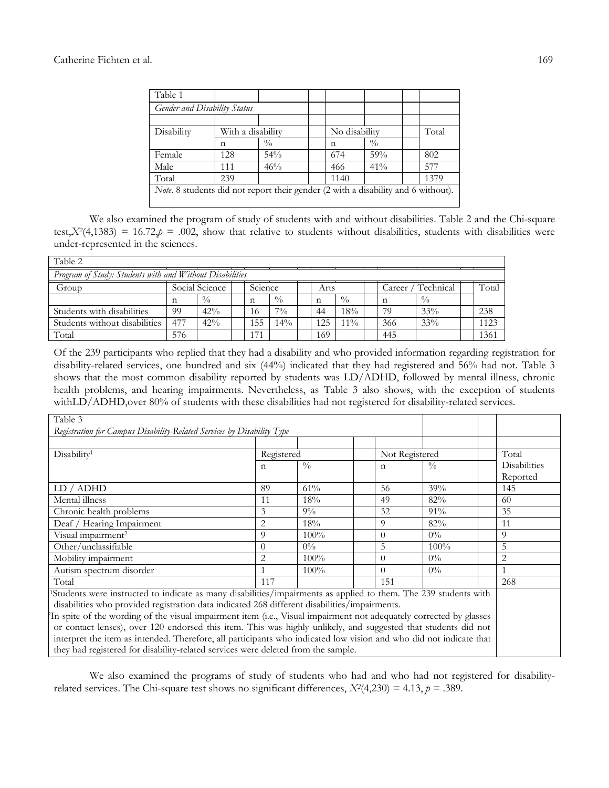| Table 1                      |     |                                                                                   |               |               |      |
|------------------------------|-----|-----------------------------------------------------------------------------------|---------------|---------------|------|
| Gender and Disability Status |     |                                                                                   |               |               |      |
|                              |     |                                                                                   |               |               |      |
| Disability                   |     | With a disability                                                                 | No disability | Total         |      |
|                              | n   | $\frac{0}{0}$                                                                     | n             | $\frac{0}{0}$ |      |
| Female                       | 128 | 54%                                                                               | 674           | 59%           | 802  |
| Male                         | 111 | 46%                                                                               | 466           | 41%           | 577  |
| Total                        | 239 |                                                                                   | 1140          |               | 1379 |
|                              |     | Note. 8 students did not report their gender (2 with a disability and 6 without). |               |               |      |
|                              |     |                                                                                   |               |               |      |

We also examined the program of study of students with and without disabilities. Table 2 and the Chi-square test, $X^2(4,1383) = 16.72$ , $p = .002$ , show that relative to students without disabilities, students with disabilities were under-represented in the sciences.

| Table 2                                                  |                |               |  |         |               |  |             |               |  |                     |               |  |       |
|----------------------------------------------------------|----------------|---------------|--|---------|---------------|--|-------------|---------------|--|---------------------|---------------|--|-------|
| Program of Study: Students with and Without Disabilities |                |               |  |         |               |  |             |               |  |                     |               |  |       |
| Group                                                    | Social Science |               |  | Science |               |  | Arts        |               |  | Technical<br>Lareer |               |  | Total |
|                                                          | n              | $\frac{0}{0}$ |  | n       | $\frac{0}{0}$ |  | $\mathbf n$ | $\frac{0}{0}$ |  | n                   | $\frac{0}{0}$ |  |       |
| Students with disabilities                               | 99             | 42%           |  | 16      | $7\%$         |  | 44          | 18%           |  | 79                  | 33%           |  | 238   |
| Students without disabilities                            | 477            | 42%           |  | .55     | $14\%$        |  | 125         | $1\%$         |  | 366                 | 33%           |  | 1123  |
| Total                                                    | 576            |               |  | 71      |               |  | 169         |               |  | 445                 |               |  | 1361  |

Of the 239 participants who replied that they had a disability and who provided information regarding registration for disability-related services, one hundred and six (44%) indicated that they had registered and 56% had not. Table 3 shows that the most common disability reported by students was LD/ADHD, followed by mental illness, chronic health problems, and hearing impairments. Nevertheless, as Table 3 also shows, with the exception of students withLD/ADHD,over 80% of students with these disabilities had not registered for disability-related services.

| Table 3                                                                                                            |                                                                  |               |                |               |  |                     |  |  |  |  |  |
|--------------------------------------------------------------------------------------------------------------------|------------------------------------------------------------------|---------------|----------------|---------------|--|---------------------|--|--|--|--|--|
| Registration for Campus Disability-Related Services by Disability Type                                             |                                                                  |               |                |               |  |                     |  |  |  |  |  |
|                                                                                                                    |                                                                  |               |                |               |  |                     |  |  |  |  |  |
| Disability <sup>1</sup>                                                                                            | Registered                                                       |               | Not Registered |               |  | Total               |  |  |  |  |  |
|                                                                                                                    | $\mathbf n$                                                      | $\frac{0}{0}$ | $\mathsf{n}$   | $\frac{0}{0}$ |  | <b>Disabilities</b> |  |  |  |  |  |
|                                                                                                                    |                                                                  |               |                |               |  | Reported            |  |  |  |  |  |
| LD / ADHD                                                                                                          | 89                                                               | 61%           | 56             | 39%           |  | 145                 |  |  |  |  |  |
| Mental illness                                                                                                     | 18%<br>82%<br>11<br>49                                           |               |                |               |  |                     |  |  |  |  |  |
| 91%<br>Chronic health problems<br>3<br>32<br>35<br>$9\%$                                                           |                                                                  |               |                |               |  |                     |  |  |  |  |  |
| $\overline{2}$<br>18%<br>9<br>82%<br>11<br>Deaf / Hearing Impairment                                               |                                                                  |               |                |               |  |                     |  |  |  |  |  |
| Visual impairment <sup>2</sup>                                                                                     | 9                                                                | 100%          | $\Omega$       | $0\%$         |  | 9                   |  |  |  |  |  |
| Other/unclassifiable                                                                                               | $\Omega$                                                         | $0\%$         | 5              | 100%          |  | 5                   |  |  |  |  |  |
| Mobility impairment                                                                                                | $100\%$<br>$0\%$<br>$\overline{2}$<br>$\overline{2}$<br>$\Omega$ |               |                |               |  |                     |  |  |  |  |  |
| Autism spectrum disorder                                                                                           |                                                                  | 100%          | $\Omega$       | $0\%$         |  | 1                   |  |  |  |  |  |
| Total                                                                                                              | 117                                                              |               | 151            |               |  | 268                 |  |  |  |  |  |
| Students were instructed to indicate as many disabilities/impairments as applied to them. The 239 students with    |                                                                  |               |                |               |  |                     |  |  |  |  |  |
| disabilities who provided registration data indicated 268 different disabilities/impairments.                      |                                                                  |               |                |               |  |                     |  |  |  |  |  |
| In spite of the wording of the visual impairment item (i.e., Visual impairment not adequately corrected by glasses |                                                                  |               |                |               |  |                     |  |  |  |  |  |
| or contact lenses), over 120 endorsed this item. This was highly unlikely, and suggested that students did not     |                                                                  |               |                |               |  |                     |  |  |  |  |  |
| interpret the item as intended. Therefore, all participants who indicated low vision and who did not indicate that |                                                                  |               |                |               |  |                     |  |  |  |  |  |
| they had registered for disability-related services were deleted from the sample.                                  |                                                                  |               |                |               |  |                     |  |  |  |  |  |

We also examined the programs of study of students who had and who had not registered for disabilityrelated services. The Chi-square test shows no significant differences,  $X^2(4,230) = 4.13$ ,  $p = .389$ .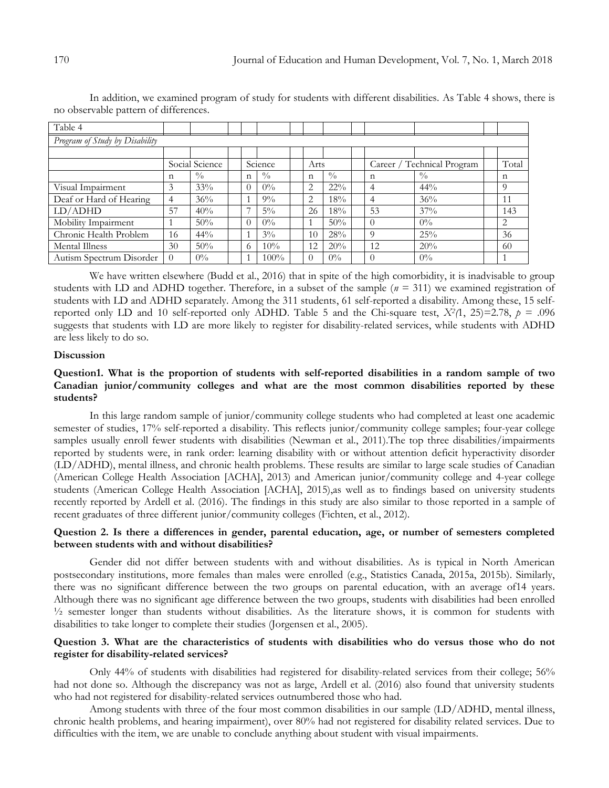| Table 4                        |                |             |  |                |               |  |             |             |  |                            |               |  |          |
|--------------------------------|----------------|-------------|--|----------------|---------------|--|-------------|-------------|--|----------------------------|---------------|--|----------|
| Program of Study by Disability |                |             |  |                |               |  |             |             |  |                            |               |  |          |
|                                |                |             |  |                |               |  |             |             |  |                            |               |  |          |
|                                | Social Science |             |  | Science        |               |  | Arts        |             |  | Career / Technical Program |               |  | Total    |
|                                | n              | $^{0}/_{0}$ |  | $\mathbf n$    | $\frac{0}{0}$ |  | $\mathbf n$ | $^{0}/_{0}$ |  | n                          | $\frac{0}{0}$ |  | n        |
| Visual Impairment              | 3              | 33%         |  | $\Omega$       | $0\%$         |  | 2           | $22\%$      |  | 4                          | $44\%$        |  | $\Omega$ |
| Deaf or Hard of Hearing        | 4              | 36%         |  |                | $9\%$         |  | 2           | 18%         |  | 4                          | 36%           |  | 11       |
| LD/ADHD                        | 57             | 40%         |  | $\overline{ }$ | $5\%$         |  | 26          | 18%         |  | 53                         | 37%           |  | 143      |
| Mobility Impairment            |                | 50%         |  | $\theta$       | $0\%$         |  |             | 50%         |  | $\theta$                   | $0\%$         |  | 2        |
| Chronic Health Problem         | 16             | $44\%$      |  |                | $3\%$         |  | 10          | 28%         |  | 9                          | 25%           |  | 36       |
| Mental Illness                 | 30             | 50%         |  | 6              | 10%           |  | 12          | 20%         |  | 12                         | 20%           |  | 60       |
| Autism Spectrum Disorder       |                | $0\%$       |  |                | $100\%$       |  |             | $0\%$       |  | $\theta$                   | $0\%$         |  |          |

In addition, we examined program of study for students with different disabilities. As Table 4 shows, there is no observable pattern of differences.

We have written elsewhere (Budd et al., 2016) that in spite of the high comorbidity, it is inadvisable to group students with LD and ADHD together. Therefore, in a subset of the sample  $(n = 311)$  we examined registration of students with LD and ADHD separately. Among the 311 students, 61 self-reported a disability. Among these, 15 selfreported only LD and 10 self-reported only ADHD. Table 5 and the Chi-square test,  $X^2(1, 25) = 2.78$ ,  $p = .096$ suggests that students with LD are more likely to register for disability-related services, while students with ADHD are less likely to do so.

## **Discussion**

# **Question1. What is the proportion of students with self-reported disabilities in a random sample of two Canadian junior/community colleges and what are the most common disabilities reported by these students?**

In this large random sample of junior/community college students who had completed at least one academic semester of studies, 17% self-reported a disability. This reflects junior/community college samples; four-year college samples usually enroll fewer students with disabilities (Newman et al., 2011). The top three disabilities/impairments reported by students were, in rank order: learning disability with or without attention deficit hyperactivity disorder (LD/ADHD), mental illness, and chronic health problems. These results are similar to large scale studies of Canadian (American College Health Association [ACHA], 2013) and American junior/community college and 4-year college students (American College Health Association [ACHA], 2015),as well as to findings based on university students recently reported by Ardell et al. (2016). The findings in this study are also similar to those reported in a sample of recent graduates of three different junior/community colleges (Fichten, et al., 2012).

# **Question 2. Is there a differences in gender, parental education, age, or number of semesters completed between students with and without disabilities?**

Gender did not differ between students with and without disabilities. As is typical in North American postsecondary institutions, more females than males were enrolled (e.g., Statistics Canada, 2015a, 2015b). Similarly, there was no significant difference between the two groups on parental education, with an average of14 years. Although there was no significant age difference between the two groups, students with disabilities had been enrolled ½ semester longer than students without disabilities. As the literature shows, it is common for students with disabilities to take longer to complete their studies (Jorgensen et al., 2005).

# **Question 3. What are the characteristics of students with disabilities who do versus those who do not register for disability-related services?**

Only 44% of students with disabilities had registered for disability-related services from their college; 56% had not done so. Although the discrepancy was not as large, Ardell et al. (2016) also found that university students who had not registered for disability-related services outnumbered those who had.

Among students with three of the four most common disabilities in our sample (LD/ADHD, mental illness, chronic health problems, and hearing impairment), over 80% had not registered for disability related services. Due to difficulties with the item, we are unable to conclude anything about student with visual impairments.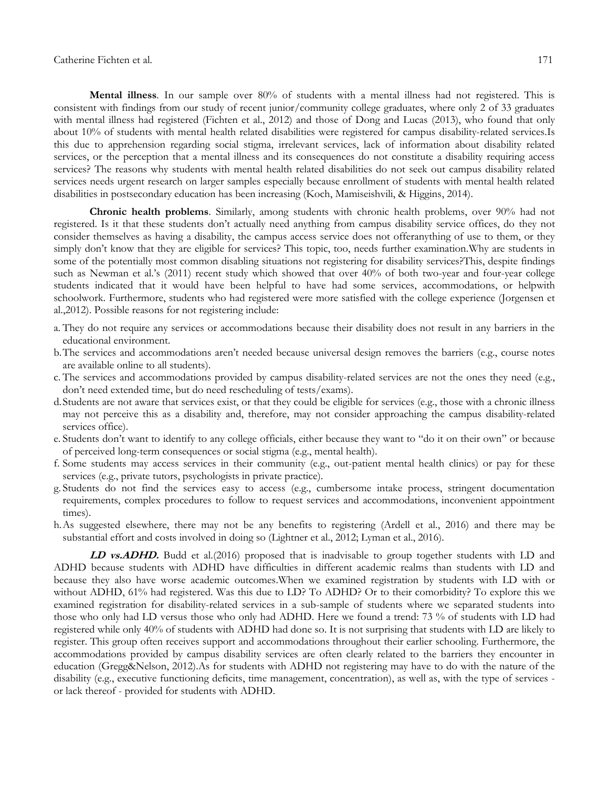**Mental illness**. In our sample over 80% of students with a mental illness had not registered. This is consistent with findings from our study of recent junior/community college graduates, where only 2 of 33 graduates with mental illness had registered (Fichten et al., 2012) and those of Dong and Lucas (2013), who found that only about 10% of students with mental health related disabilities were registered for campus disability-related services.Is this due to apprehension regarding social stigma, irrelevant services, lack of information about disability related services, or the perception that a mental illness and its consequences do not constitute a disability requiring access services? The reasons why students with mental health related disabilities do not seek out campus disability related services needs urgent research on larger samples especially because enrollment of students with mental health related disabilities in postsecondary education has been increasing (Koch, Mamiseishvili, & Higgins, 2014).

**Chronic health problems**. Similarly, among students with chronic health problems, over 90% had not registered. Is it that these students don't actually need anything from campus disability service offices, do they not consider themselves as having a disability, the campus access service does not offeranything of use to them, or they simply don't know that they are eligible for services? This topic, too, needs further examination.Why are students in some of the potentially most common disabling situations not registering for disability services?This, despite findings such as Newman et al.'s (2011) recent study which showed that over 40% of both two-year and four-year college students indicated that it would have been helpful to have had some services, accommodations, or helpwith schoolwork. Furthermore, students who had registered were more satisfied with the college experience (Jorgensen et al.,2012). Possible reasons for not registering include:

- a. They do not require any services or accommodations because their disability does not result in any barriers in the educational environment.
- b.The services and accommodations aren't needed because universal design removes the barriers (e.g., course notes are available online to all students).
- c. The services and accommodations provided by campus disability-related services are not the ones they need (e.g., don't need extended time, but do need rescheduling of tests/exams).
- d.Students are not aware that services exist, or that they could be eligible for services (e.g., those with a chronic illness may not perceive this as a disability and, therefore, may not consider approaching the campus disability-related services office).
- e. Students don't want to identify to any college officials, either because they want to "do it on their own" or because of perceived long-term consequences or social stigma (e.g., mental health).
- f. Some students may access services in their community (e.g., out-patient mental health clinics) or pay for these services (e.g., private tutors, psychologists in private practice).
- g. Students do not find the services easy to access (e.g., cumbersome intake process, stringent documentation requirements, complex procedures to follow to request services and accommodations, inconvenient appointment times).
- h.As suggested elsewhere, there may not be any benefits to registering (Ardell et al., 2016) and there may be substantial effort and costs involved in doing so (Lightner et al., 2012; Lyman et al., 2016).

**LD vs.ADHD.** Budd et al.(2016) proposed that is inadvisable to group together students with LD and ADHD because students with ADHD have difficulties in different academic realms than students with LD and because they also have worse academic outcomes.When we examined registration by students with LD with or without ADHD, 61% had registered. Was this due to LD? To ADHD? Or to their comorbidity? To explore this we examined registration for disability-related services in a sub-sample of students where we separated students into those who only had LD versus those who only had ADHD. Here we found a trend: 73 % of students with LD had registered while only 40% of students with ADHD had done so. It is not surprising that students with LD are likely to register. This group often receives support and accommodations throughout their earlier schooling. Furthermore, the accommodations provided by campus disability services are often clearly related to the barriers they encounter in education (Gregg&Nelson, 2012).As for students with ADHD not registering may have to do with the nature of the disability (e.g., executive functioning deficits, time management, concentration), as well as, with the type of services or lack thereof - provided for students with ADHD.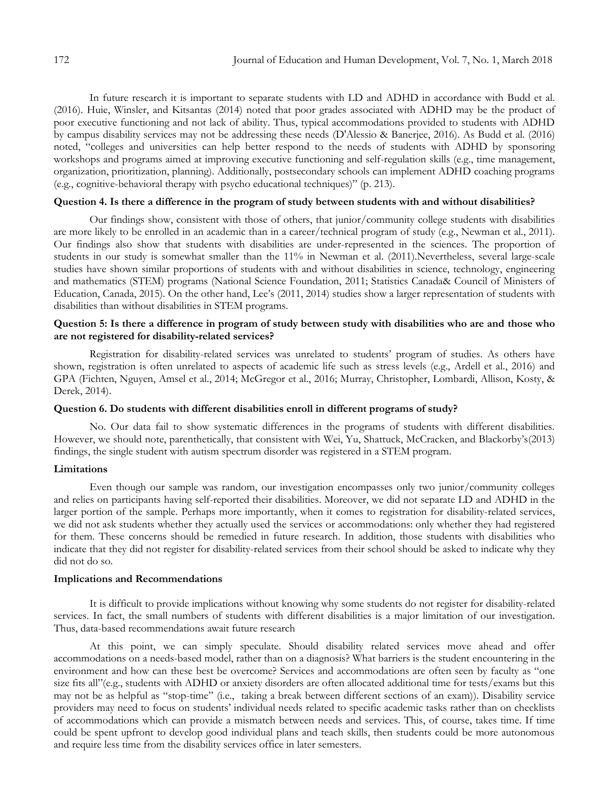In future research it is important to separate students with LD and ADHD in accordance with Budd et al. (2016). Huie, Winsler, and Kitsantas (2014) noted that poor grades associated with ADHD may be the product of poor executive functioning and not lack of ability. Thus, typical accommodations provided to students with ADHD by campus disability services may not be addressing these needs (D'Alessio & Banerjee, 2016). As Budd et al. (2016) noted, "colleges and universities can help better respond to the needs of students with ADHD by sponsoring workshops and programs aimed at improving executive functioning and self-regulation skills (e.g., time management, organization, prioritization, planning). Additionally, postsecondary schools can implement ADHD coaching programs (e.g., cognitive-behavioral therapy with psycho educational techniques)" (p. 213).

## **Question 4. Is there a difference in the program of study between students with and without disabilities?**

Our findings show, consistent with those of others, that junior/community college students with disabilities are more likely to be enrolled in an academic than in a career/technical program of study (e.g., Newman et al., 2011). Our findings also show that students with disabilities are under-represented in the sciences. The proportion of students in our study is somewhat smaller than the 11% in Newman et al. (2011).Nevertheless, several large-scale studies have shown similar proportions of students with and without disabilities in science, technology, engineering and mathematics (STEM) programs (National Science Foundation, 2011; Statistics Canada& Council of Ministers of Education, Canada, 2015). On the other hand, Lee's (2011, 2014) studies show a larger representation of students with disabilities than without disabilities in STEM programs.

# **Question 5: Is there a difference in program of study between study with disabilities who are and those who are not registered for disability-related services?**

Registration for disability-related services was unrelated to students' program of studies. As others have shown, registration is often unrelated to aspects of academic life such as stress levels (e.g., Ardell et al., 2016) and GPA (Fichten, Nguyen, Amsel et al., 2014; McGregor et al., 2016; Murray, Christopher, Lombardi, Allison, Kosty, & Derek, 2014).

#### **Question 6. Do students with different disabilities enroll in different programs of study?**

No. Our data fail to show systematic differences in the programs of students with different disabilities. However, we should note, parenthetically, that consistent with Wei, Yu, Shattuck, McCracken, and Blackorby's(2013) findings, the single student with autism spectrum disorder was registered in a STEM program.

### **Limitations**

Even though our sample was random, our investigation encompasses only two junior/community colleges and relies on participants having self-reported their disabilities. Moreover, we did not separate LD and ADHD in the larger portion of the sample. Perhaps more importantly, when it comes to registration for disability-related services, we did not ask students whether they actually used the services or accommodations: only whether they had registered for them. These concerns should be remedied in future research. In addition, those students with disabilities who indicate that they did not register for disability-related services from their school should be asked to indicate why they did not do so.

#### **Implications and Recommendations**

It is difficult to provide implications without knowing why some students do not register for disability-related services. In fact, the small numbers of students with different disabilities is a major limitation of our investigation. Thus, data-based recommendations await future research

At this point, we can simply speculate. Should disability related services move ahead and offer accommodations on a needs-based model, rather than on a diagnosis? What barriers is the student encountering in the environment and how can these best be overcome? Services and accommodations are often seen by faculty as "one size fits all"(e.g., students with ADHD or anxiety disorders are often allocated additional time for tests/exams but this may not be as helpful as "stop-time" (i.e., taking a break between different sections of an exam)). Disability service providers may need to focus on students' individual needs related to specific academic tasks rather than on checklists of accommodations which can provide a mismatch between needs and services. This, of course, takes time. If time could be spent upfront to develop good individual plans and teach skills, then students could be more autonomous and require less time from the disability services office in later semesters.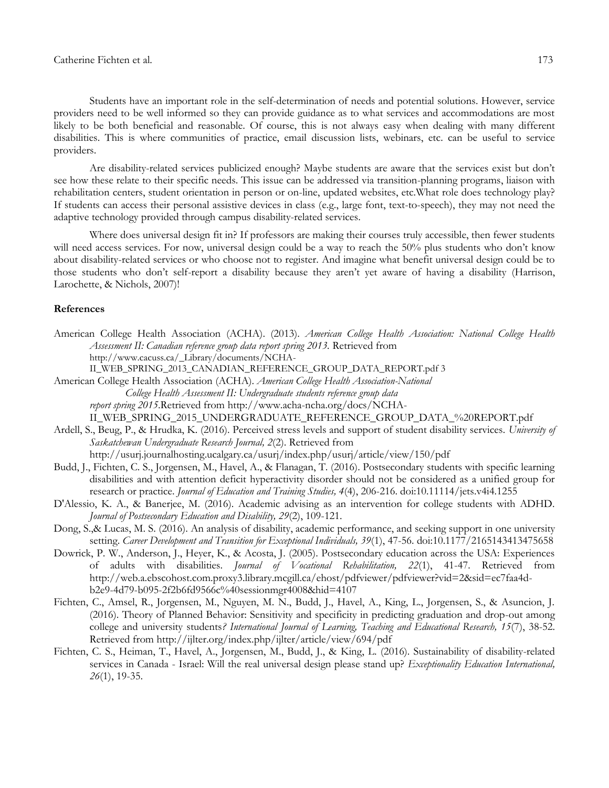Students have an important role in the self-determination of needs and potential solutions. However, service providers need to be well informed so they can provide guidance as to what services and accommodations are most likely to be both beneficial and reasonable. Of course, this is not always easy when dealing with many different disabilities. This is where communities of practice, email discussion lists, webinars, etc. can be useful to service providers.

Are disability-related services publicized enough? Maybe students are aware that the services exist but don't see how these relate to their specific needs. This issue can be addressed via transition-planning programs, liaison with rehabilitation centers, student orientation in person or on-line, updated websites, etc.What role does technology play? If students can access their personal assistive devices in class (e.g., large font, text-to-speech), they may not need the adaptive technology provided through campus disability-related services.

Where does universal design fit in? If professors are making their courses truly accessible, then fewer students will need access services. For now, universal design could be a way to reach the 50% plus students who don't know about disability-related services or who choose not to register. And imagine what benefit universal design could be to those students who don't self-report a disability because they aren't yet aware of having a disability (Harrison, Larochette, & Nichols, 2007)!

## **References**

- American College Health Association (ACHA). (2013). *American College Health Association: National College Health Assessment II: Canadian reference group data report spring 2013.* Retrieved from http://www.cacuss.ca/\_Library/documents/NCHA-
	- II\_WEB\_SPRING\_2013\_CANADIAN\_REFERENCE\_GROUP\_DATA\_REPORT.pdf 3
- American College Health Association (ACHA). *American College Health Association-National College Health Assessment II: Undergraduate students reference group data report spring 2015*.Retrieved from http://www.acha-ncha.org/docs/NCHA-

II\_WEB\_SPRING\_2015\_UNDERGRADUATE\_REFERENCE\_GROUP\_DATA\_%20REPORT.pdf

Ardell, S., Beug, P., & Hrudka, K. (2016). Perceived stress levels and support of student disability services. *University of Saskatchewan Undergraduate Research Journal, 2*(2). Retrieved from

http://usurj.journalhosting.ucalgary.ca/usurj/index.php/usurj/article/view/150/pdf

- Budd, J., Fichten, C. S., Jorgensen, M., Havel, A., & Flanagan, T. (2016). Postsecondary students with specific learning disabilities and with attention deficit hyperactivity disorder should not be considered as a unified group for research or practice. *Journal of Education and Training Studies, 4*(4), 206-216. doi:10.11114/jets.v4i4.1255
- D'Alessio, K. A., & Banerjee, M. (2016). Academic advising as an intervention for college students with ADHD. *Journal of Postsecondary Education and Disability, 29*(2), 109-121.
- Dong, S.,& Lucas, M. S. (2016). An analysis of disability, academic performance, and seeking support in one university setting. *Career Development and Transition for Exceptional Individuals, 39*(1), 47-56. doi:10.1177/2165143413475658
- Dowrick, P. W., Anderson, J., Heyer, K., & Acosta, J. (2005). Postsecondary education across the USA: Experiences of adults with disabilities. *Journal of Vocational Rehabilitation, 22*(1), 41-47. Retrieved from http://web.a.ebscohost.com.proxy3.library.mcgill.ca/ehost/pdfviewer/pdfviewer?vid=2&sid=ec7faa4db2e9-4d79-b095-2f2b6fd9566c%40sessionmgr4008&hid=4107
- Fichten, C., Amsel, R., Jorgensen, M., Nguyen, M. N., Budd, J., Havel, A., King, L., Jorgensen, S., & Asuncion, J. (2016). Theory of Planned Behavior: Sensitivity and specificity in predicting graduation and drop-out among college and university students*? International Journal of Learning, Teaching and Educational Research, 15*(7), 38-52. Retrieved from http://ijlter.org/index.php/ijlter/article/view/694/pdf
- Fichten, C. S., Heiman, T., Havel, A., Jorgensen, M., Budd, J., & King, L. (2016). Sustainability of disability-related services in Canada - Israel: Will the real universal design please stand up? *Exceptionality Education International, 26*(1), 19-35.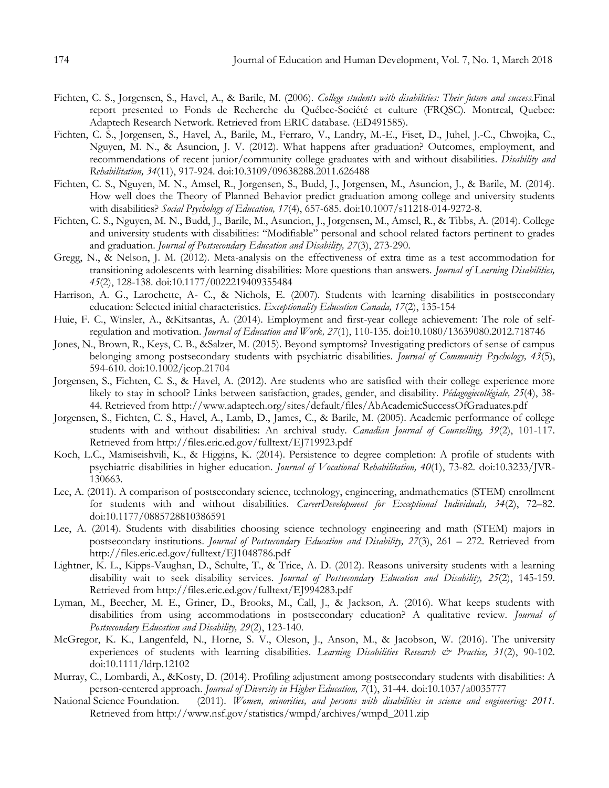- Fichten, C. S., Jorgensen, S., Havel, A., & Barile, M. (2006). *College students with disabilities: Their future and success.*Final report presented to Fonds de Recherche du Québec-Société et culture (FRQSC). Montreal, Quebec: Adaptech Research Network. Retrieved from ERIC database. (ED491585).
- Fichten, C. S., Jorgensen, S., Havel, A., Barile, M., Ferraro, V., Landry, M.-E., Fiset, D., Juhel, J.-C., Chwojka, C., Nguyen, M. N., & Asuncion, J. V. (2012). What happens after graduation? Outcomes, employment, and recommendations of recent junior/community college graduates with and without disabilities. *Disability and Rehabilitation, 34*(11), 917-924. doi:10.3109/09638288.2011.626488
- Fichten, C. S., Nguyen, M. N., Amsel, R., Jorgensen, S., Budd, J., Jorgensen, M., Asuncion, J., & Barile, M. (2014). How well does the Theory of Planned Behavior predict graduation among college and university students with disabilities? *Social Psychology of Education, 17*(4), 657-685. doi:10.1007/s11218-014-9272-8.
- Fichten, C. S., Nguyen, M. N., Budd, J., Barile, M., Asuncion, J., Jorgensen, M., Amsel, R., & Tibbs, A. (2014). College and university students with disabilities: "Modifiable" personal and school related factors pertinent to grades and graduation. *Journal of Postsecondary Education and Disability, 27*(3), 273-290.
- Gregg, N., & Nelson, J. M. (2012). Meta-analysis on the effectiveness of extra time as a test accommodation for transitioning adolescents with learning disabilities: More questions than answers. *Journal of Learning Disabilities, 45*(2), 128-138. doi:10.1177/0022219409355484
- Harrison, A. G., Larochette, A- C., & Nichols, E. (2007). Students with learning disabilities in postsecondary education: Selected initial characteristics. *Exceptionality Education Canada, 17*(2), 135-154
- Huie, F. C., Winsler, A., &Kitsantas, A. (2014). Employment and first-year college achievement: The role of selfregulation and motivation. *Journal of Education and Work, 27*(1), 110-135. doi:10.1080/13639080.2012.718746
- Jones, N., Brown, R., Keys, C. B., &Salzer, M. (2015). Beyond symptoms? Investigating predictors of sense of campus belonging among postsecondary students with psychiatric disabilities. *Journal of Community Psychology, 43*(5), 594-610. doi:10.1002/jcop.21704
- Jorgensen, S., Fichten, C. S., & Havel, A. (2012). Are students who are satisfied with their college experience more likely to stay in school? Links between satisfaction, grades, gender, and disability. *Pédagogiecollégiale, 25*(4), 38- 44. Retrieved from http://www.adaptech.org/sites/default/files/AbAcademicSuccessOfGraduates.pdf
- Jorgensen, S., Fichten, C. S., Havel, A., Lamb, D., James, C., & Barile, M. (2005). Academic performance of college students with and without disabilities: An archival study. *Canadian Journal of Counselling, 39*(2), 101-117. Retrieved from http://files.eric.ed.gov/fulltext/EJ719923.pdf
- Koch, L.C., Mamiseishvili, K., & Higgins, K. (2014). Persistence to degree completion: A profile of students with psychiatric disabilities in higher education. *Journal of Vocational Rehabilitation, 40*(1), 73-82. doi:10.3233/JVR-130663.
- Lee, A. (2011). A comparison of postsecondary science, technology, engineering, andmathematics (STEM) enrollment for students with and without disabilities. *CareerDevelopment for Exceptional Individuals, 34*(2), 72–82. doi:10.1177/0885728810386591
- Lee, A. (2014). Students with disabilities choosing science technology engineering and math (STEM) majors in postsecondary institutions*. Journal of Postsecondary Education and Disability, 27*(3), 261 – 272. Retrieved from http://files.eric.ed.gov/fulltext/EJ1048786.pdf
- Lightner, K. L., Kipps-Vaughan, D., Schulte, T., & Trice, A. D. (2012). Reasons university students with a learning disability wait to seek disability services. *Journal of Postsecondary Education and Disability, 25*(2), 145-159. Retrieved from http://files.eric.ed.gov/fulltext/EJ994283.pdf
- Lyman, M., Beecher, M. E., Griner, D., Brooks, M., Call, J., & Jackson, A. (2016). What keeps students with disabilities from using accommodations in postsecondary education? A qualitative review. *Journal of Postsecondary Education and Disability, 29*(2), 123-140.
- McGregor, K. K., Langenfeld, N., Horne, S. V., Oleson, J., Anson, M., & Jacobson, W. (2016). The university experiences of students with learning disabilities. *Learning Disabilities Research & Practice, 31*(2), 90-102. doi:10.1111/ldrp.12102
- Murray, C., Lombardi, A., &Kosty, D. (2014). Profiling adjustment among postsecondary students with disabilities: A person-centered approach. *Journal of Diversity in Higher Education, 7*(1), 31-44. doi:10.1037/a0035777
- National Science Foundation. (2011). *Women, minorities, and persons with disabilities in science and engineering: 2011.* Retrieved from http://www.nsf.gov/statistics/wmpd/archives/wmpd\_2011.zip